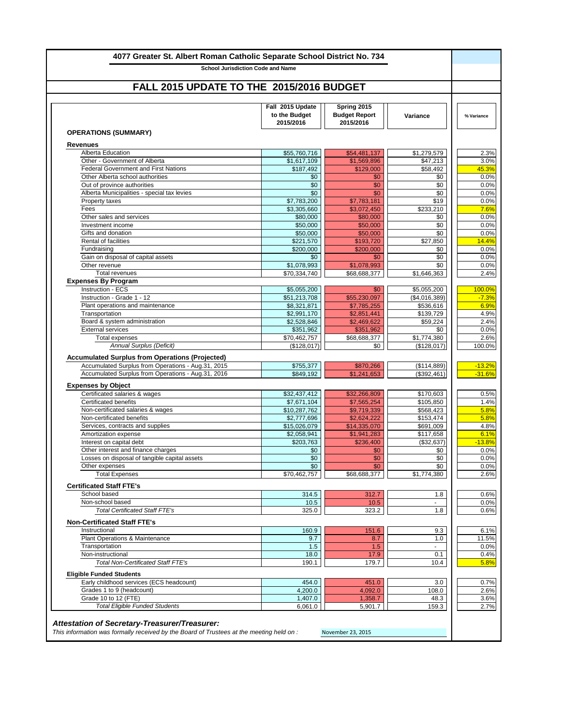| <b>School Jurisdiction Code and Name</b>                                        |                                                |                                                  |                         |            |
|---------------------------------------------------------------------------------|------------------------------------------------|--------------------------------------------------|-------------------------|------------|
| FALL 2015 UPDATE TO THE 2015/2016 BUDGET                                        |                                                |                                                  |                         |            |
|                                                                                 |                                                |                                                  |                         |            |
|                                                                                 | Fall 2015 Update<br>to the Budget<br>2015/2016 | Spring 2015<br><b>Budget Report</b><br>2015/2016 | <b>Variance</b>         | % Variance |
| <b>OPERATIONS (SUMMARY)</b>                                                     |                                                |                                                  |                         |            |
| <b>Revenues</b>                                                                 |                                                |                                                  |                         |            |
| <b>Alberta Education</b>                                                        | \$55,760,716                                   | \$54,481,137                                     | \$1,279,579             |            |
| Other - Government of Alberta                                                   | \$1,617,109                                    | \$1,569,896                                      | $\overline{\$47,213}$   |            |
| <b>Federal Government and First Nations</b><br>Other Alberta school authorities | \$187,492<br>\$0                               | \$129,000<br>\$0                                 | \$58,492<br>\$0         | 45.3%      |
| Out of province authorities                                                     | \$0                                            | \$0                                              | \$0                     |            |
| Alberta Municipalities - special tax levies                                     | \$0                                            | \$0                                              | \$0                     |            |
| Property taxes                                                                  | \$7,783,200                                    | \$7,783,181                                      | \$19                    |            |
| Fees                                                                            | \$3,305,660                                    | \$3,072,450                                      | \$233,210               |            |
| Other sales and services                                                        | \$80,000                                       | \$80,000                                         | \$0                     |            |
| Investment income                                                               | \$50,000                                       | \$50,000                                         | \$0                     |            |
| Gifts and donation<br><b>Rental of facilities</b>                               | \$50,000<br>\$221,570                          | \$50,000<br>\$193,720                            | \$0<br>\$27,850         | 14.4%      |
| Fundraising                                                                     | \$200,000                                      | \$200,000                                        | \$0                     |            |
| Gain on disposal of capital assets                                              | \$0                                            | \$0                                              | \$0                     |            |
| Other revenue                                                                   | \$1,078,993                                    | \$1,078,993                                      | \$0                     |            |
| <b>Total revenues</b>                                                           | \$70,334,740                                   | \$68,688,377                                     | \$1,646,363             |            |
| <b>Expenses By Program</b>                                                      |                                                |                                                  |                         |            |
| <b>Instruction - ECS</b>                                                        | \$5,055,200                                    | \$0                                              | \$5,055,200             | 100.0%     |
| Instruction - Grade 1 - 12                                                      | \$51,213,708                                   | \$55,230,097                                     | (\$4,016,389)           |            |
| Plant operations and maintenance<br>Transportation                              | \$8,321,871<br>\$2,991,170                     | \$7,785,255<br>\$2,851,441                       | \$536,616<br>\$139,729  |            |
| Board & system administration                                                   | \$2,528,846                                    | \$2,469,622                                      | \$59,224                |            |
| <b>External services</b>                                                        | \$351,962                                      | \$351,962                                        | \$0                     |            |
| <b>Total expenses</b>                                                           | \$70,462,757                                   | \$68,688,377                                     | $\overline{$}1,774,380$ |            |
| <b>Annual Surplus (Deficit)</b>                                                 | (\$128,017)                                    | \$0                                              | (\$128,017)             | 100.0%     |
| <b>Accumulated Surplus from Operations (Projected)</b>                          |                                                |                                                  |                         |            |
| Accumulated Surplus from Operations - Aug.31, 2015                              | \$755,377                                      | \$870,266                                        | (\$114,889)             | $-13.2%$   |
| Accumulated Surplus from Operations - Aug.31, 2016                              | \$849,192                                      | \$1,241,653                                      | (\$392,461)             | $-31.6%$   |
| <b>Expenses by Object</b>                                                       |                                                |                                                  |                         |            |
| Certificated salaries & wages                                                   | \$32,437,412                                   | \$32,266,809                                     | \$170,603               |            |
| <b>Certificated benefits</b>                                                    | \$7,671,104                                    | \$7,565,254                                      | \$105,850               |            |
| Non-certificated salaries & wages                                               | \$10,287,762                                   | \$9,719,339                                      | \$568,423               |            |
| Non-certificated benefits                                                       | \$2,777,696                                    | \$2,624,222                                      | \$153,474               |            |
| Services, contracts and supplies<br>Amortization expense                        | \$15,026,079<br>\$2,058,941                    | \$14,335,070<br>\$1,941,283                      | \$691,009<br>\$117,658  |            |
| Interest on capital debt                                                        | \$203,763                                      | \$236,400                                        | (\$32,637)              | $-13.8%$   |
| Other interest and finance charges                                              | \$0                                            | \$0                                              | \$0                     |            |
| Losses on disposal of tangible capital assets                                   | \$0                                            | \$0                                              | \$0                     |            |
| Other expenses                                                                  | \$0                                            | \$0                                              | \$0                     |            |
| <b>Total Expenses</b>                                                           | \$70,462,757                                   | \$68,688,377                                     | \$1,774,380             |            |
| <b>Certificated Staff FTE's</b>                                                 |                                                |                                                  |                         |            |
| School based                                                                    | 314.5                                          | 312.7                                            | 1.8                     |            |
| Non-school based                                                                | 10.5                                           | 10.5                                             |                         |            |
| <b>Total Certificated Staff FTE's</b>                                           | 325.0                                          | 323.2                                            | 1.8                     |            |
| <b>Non-Certificated Staff FTE's</b>                                             |                                                |                                                  |                         |            |
| Instructional                                                                   | 160.9                                          | 151.6                                            | 9.3                     |            |
| <b>Plant Operations &amp; Maintenance</b>                                       | 9.7                                            | 8.7                                              | 1.0                     | 11.5%      |
| Transportation                                                                  | 1.5                                            | 1.5                                              |                         |            |
| Non-instructional<br><b>Total Non-Certificated Staff FTE's</b>                  | 18.0<br>190.1                                  | 17.9<br>179.7                                    | 0.1<br>10.4             |            |
| <b>Eligible Funded Students</b>                                                 |                                                |                                                  |                         |            |
| Early childhood services (ECS headcount)                                        | 454.0                                          | 451.0                                            | 3.0                     |            |
| Grades 1 to 9 (headcount)                                                       | 4,200.0                                        | 4,092.0                                          | 108.0                   |            |
| Grade 10 to 12 (FTE)                                                            | 1,407.0                                        | 1,358.7                                          | 48.3                    |            |
| <b>Total Eligible Funded Students</b>                                           | 6,061.0                                        | 5,901.7                                          | 159.3                   |            |